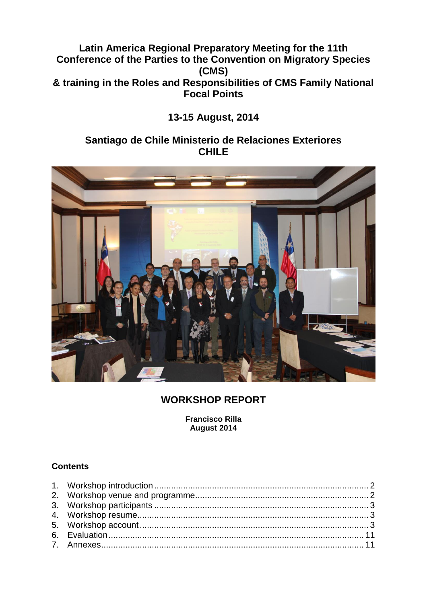# **Latin America Regional Preparatory Meeting for the 11th Conference of the Parties to the Convention on Migratory Species (CMS) & training in the Roles and Responsibilities of CMS Family National Focal Points**

# **13-15 August, 2014**

# **Santiago de Chile Ministerio de Relaciones Exteriores CHILE**



# **WORKSHOP REPORT**

**Francisco Rilla August 2014**

## **Contents**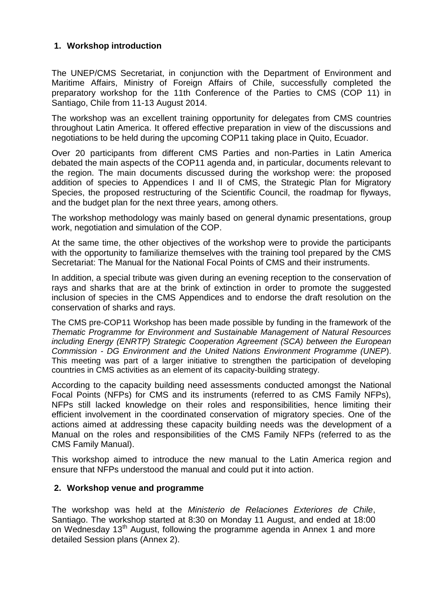## **1. Workshop introduction**

The UNEP/CMS Secretariat, in conjunction with the Department of Environment and Maritime Affairs, Ministry of Foreign Affairs of Chile, successfully completed the preparatory workshop for the 11th Conference of the Parties to CMS (COP 11) in Santiago, Chile from 11-13 August 2014.

The workshop was an excellent training opportunity for delegates from CMS countries throughout Latin America. It offered effective preparation in view of the discussions and negotiations to be held during the upcoming COP11 taking place in Quito, Ecuador.

Over 20 participants from different CMS Parties and non-Parties in Latin America debated the main aspects of the COP11 agenda and, in particular, documents relevant to the region. The main documents discussed during the workshop were: the proposed addition of species to Appendices I and II of CMS, the Strategic Plan for Migratory Species, the proposed restructuring of the Scientific Council, the roadmap for flyways, and the budget plan for the next three years, among others.

The workshop methodology was mainly based on general dynamic presentations, group work, negotiation and simulation of the COP.

At the same time, the other objectives of the workshop were to provide the participants with the opportunity to familiarize themselves with the training tool prepared by the CMS Secretariat: The Manual for the National Focal Points of CMS and their instruments.

In addition, a special tribute was given during an evening reception to the conservation of rays and sharks that are at the brink of extinction in order to promote the suggested inclusion of species in the CMS Appendices and to endorse the draft resolution on the conservation of sharks and rays.

The CMS pre-COP11 Workshop has been made possible by funding in the framework of the *Thematic Programme for Environment and Sustainable Management of Natural Resources including Energy (ENRTP) Strategic Cooperation Agreement (SCA) between the European Commission - DG Environment and the United Nations Environment Programme (UNEP*). This meeting was part of a larger initiative to strengthen the participation of developing countries in CMS activities as an element of its capacity-building strategy.

According to the capacity building need assessments conducted amongst the National Focal Points (NFPs) for CMS and its instruments (referred to as CMS Family NFPs), NFPs still lacked knowledge on their roles and responsibilities, hence limiting their efficient involvement in the coordinated conservation of migratory species. One of the actions aimed at addressing these capacity building needs was the development of a Manual on the roles and responsibilities of the CMS Family NFPs (referred to as the CMS Family Manual).

This workshop aimed to introduce the new manual to the Latin America region and ensure that NFPs understood the manual and could put it into action.

#### **2. Workshop venue and programme**

The workshop was held at the *Ministerio de Relaciones Exteriores de Chile*, Santiago. The workshop started at 8:30 on Monday 11 August, and ended at 18:00 on Wednesday 13<sup>th</sup> August, following the programme agenda in Annex 1 and more detailed Session plans (Annex 2).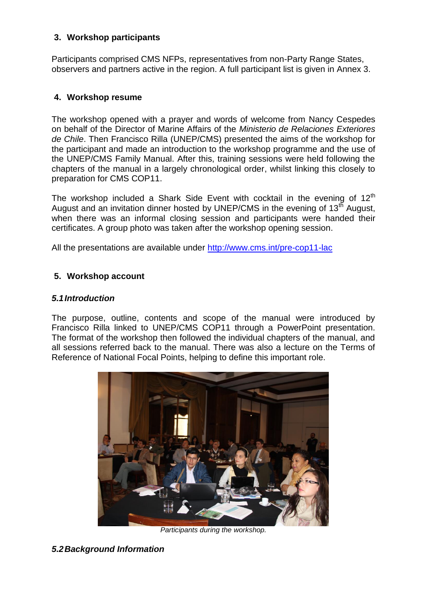## **3. Workshop participants**

Participants comprised CMS NFPs, representatives from non-Party Range States, observers and partners active in the region. A full participant list is given in Annex 3.

## **4. Workshop resume**

The workshop opened with a prayer and words of welcome from Nancy Cespedes on behalf of the Director of Marine Affairs of the *Ministerio de Relaciones Exteriores de Chile*. Then Francisco Rilla (UNEP/CMS) presented the aims of the workshop for the participant and made an introduction to the workshop programme and the use of the UNEP/CMS Family Manual. After this, training sessions were held following the chapters of the manual in a largely chronological order, whilst linking this closely to preparation for CMS COP11.

The workshop included a Shark Side Event with cocktail in the evening of  $12<sup>th</sup>$ August and an invitation dinner hosted by UNEP/CMS in the evening of  $13<sup>th</sup>$  August, when there was an informal closing session and participants were handed their certificates. A group photo was taken after the workshop opening session.

All the presentations are available under<http://www.cms.int/pre-cop11-lac>

## **5. Workshop account**

## *5.1Introduction*

The purpose, outline, contents and scope of the manual were introduced by Francisco Rilla linked to UNEP/CMS COP11 through a PowerPoint presentation. The format of the workshop then followed the individual chapters of the manual, and all sessions referred back to the manual. There was also a lecture on the Terms of Reference of National Focal Points, helping to define this important role.



*Participants during the workshop.*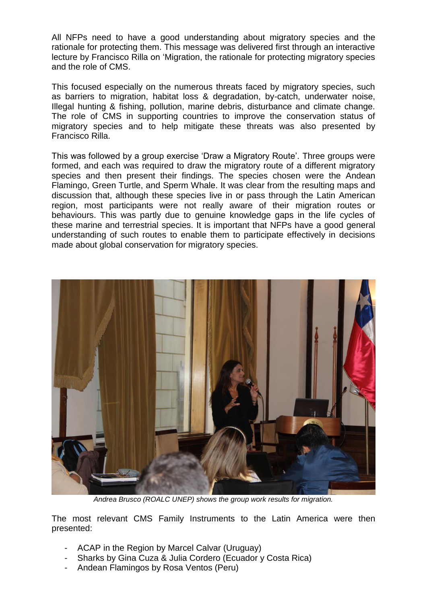All NFPs need to have a good understanding about migratory species and the rationale for protecting them. This message was delivered first through an interactive lecture by Francisco Rilla on 'Migration, the rationale for protecting migratory species and the role of CMS.

This focused especially on the numerous threats faced by migratory species, such as barriers to migration, habitat loss & degradation, by-catch, underwater noise, Illegal hunting & fishing, pollution, marine debris, disturbance and climate change. The role of CMS in supporting countries to improve the conservation status of migratory species and to help mitigate these threats was also presented by Francisco Rilla.

This was followed by a group exercise 'Draw a Migratory Route'. Three groups were formed, and each was required to draw the migratory route of a different migratory species and then present their findings. The species chosen were the Andean Flamingo, Green Turtle, and Sperm Whale. It was clear from the resulting maps and discussion that, although these species live in or pass through the Latin American region, most participants were not really aware of their migration routes or behaviours. This was partly due to genuine knowledge gaps in the life cycles of these marine and terrestrial species. It is important that NFPs have a good general understanding of such routes to enable them to participate effectively in decisions made about global conservation for migratory species.



*Andrea Brusco (ROALC UNEP) shows the group work results for migration.*

The most relevant CMS Family Instruments to the Latin America were then presented:

- ACAP in the Region by Marcel Calvar (Uruguay)
- Sharks by Gina Cuza & Julia Cordero (Ecuador y Costa Rica)
- Andean Flamingos by Rosa Ventos (Peru)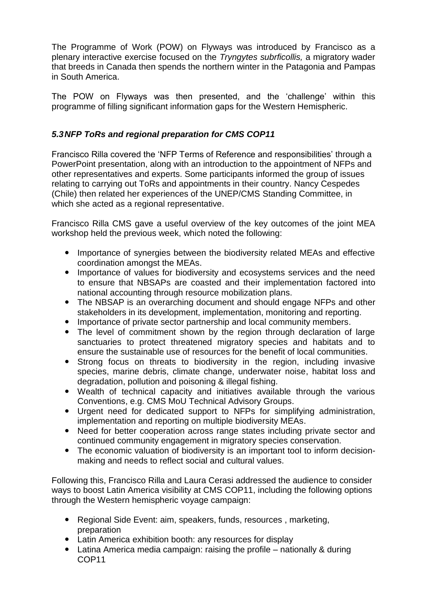The Programme of Work (POW) on Flyways was introduced by Francisco as a plenary interactive exercise focused on the *Tryngytes subrficollis,* a migratory wader that breeds in Canada then spends the northern winter in the Patagonia and Pampas in South America.

The POW on Flyways was then presented, and the 'challenge' within this programme of filling significant information gaps for the Western Hemispheric.

## *5.3NFP ToRs and regional preparation for CMS COP11*

Francisco Rilla covered the 'NFP Terms of Reference and responsibilities' through a PowerPoint presentation, along with an introduction to the appointment of NFPs and other representatives and experts. Some participants informed the group of issues relating to carrying out ToRs and appointments in their country. Nancy Cespedes (Chile) then related her experiences of the UNEP/CMS Standing Committee, in which she acted as a regional representative.

Francisco Rilla CMS gave a useful overview of the key outcomes of the joint MEA workshop held the previous week, which noted the following:

- Importance of synergies between the biodiversity related MEAs and effective coordination amongst the MEAs.
- Importance of values for biodiversity and ecosystems services and the need to ensure that NBSAPs are coasted and their implementation factored into national accounting through resource mobilization plans.
- The NBSAP is an overarching document and should engage NFPs and other stakeholders in its development, implementation, monitoring and reporting.
- Importance of private sector partnership and local community members.
- The level of commitment shown by the region through declaration of large sanctuaries to protect threatened migratory species and habitats and to ensure the sustainable use of resources for the benefit of local communities.
- Strong focus on threats to biodiversity in the region, including invasive species, marine debris, climate change, underwater noise, habitat loss and degradation, pollution and poisoning & illegal fishing.
- Wealth of technical capacity and initiatives available through the various Conventions, e.g. CMS MoU Technical Advisory Groups.
- Urgent need for dedicated support to NFPs for simplifying administration, implementation and reporting on multiple biodiversity MEAs.
- Need for better cooperation across range states including private sector and continued community engagement in migratory species conservation.
- The economic valuation of biodiversity is an important tool to inform decisionmaking and needs to reflect social and cultural values.

Following this, Francisco Rilla and Laura Cerasi addressed the audience to consider ways to boost Latin America visibility at CMS COP11, including the following options through the Western hemispheric voyage campaign:

- Regional Side Event: aim, speakers, funds, resources , marketing, preparation
- Latin America exhibition booth: any resources for display
- Latina America media campaign: raising the profile nationally & during COP11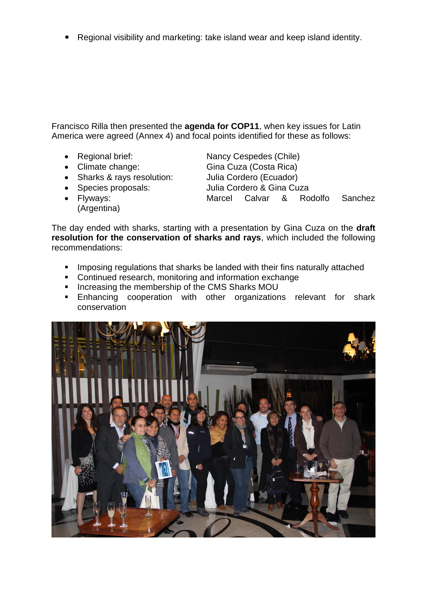Regional visibility and marketing: take island wear and keep island identity.

Francisco Rilla then presented the **agenda for COP11**, when key issues for Latin America were agreed (Annex 4) and focal points identified for these as follows:

- Regional brief: Nancy Cespedes (Chile)
- 
- Sharks & rays resolution: Julia Cordero (Ecuador)
- 
- 

• Climate change: Gina Cuza (Costa Rica) Species proposals: Julia Cordero & Gina Cuza Flyways: Marcel Calvar & Rodolfo Sanchez

(Argentina)

The day ended with sharks, starting with a presentation by Gina Cuza on the **draft resolution for the conservation of sharks and rays**, which included the following recommendations:

- **IMPOSING REGIVER INCO THE SHARK FILM INCO THE CONSTANCE IN SHARK** INCO **I**n Imposing regulations that shark their fins naturally attached
- **Continued research, monitoring and information exchange**
- **Increasing the membership of the CMS Sharks MOU**
- **Enhancing cooperation with other organizations relevant for shark** conservation

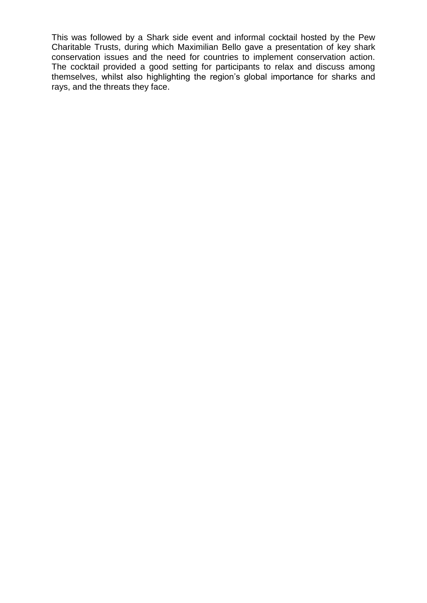This was followed by a Shark side event and informal cocktail hosted by the Pew Charitable Trusts, during which Maximilian Bello gave a presentation of key shark conservation issues and the need for countries to implement conservation action. The cocktail provided a good setting for participants to relax and discuss among themselves, whilst also highlighting the region's global importance for sharks and rays, and the threats they face.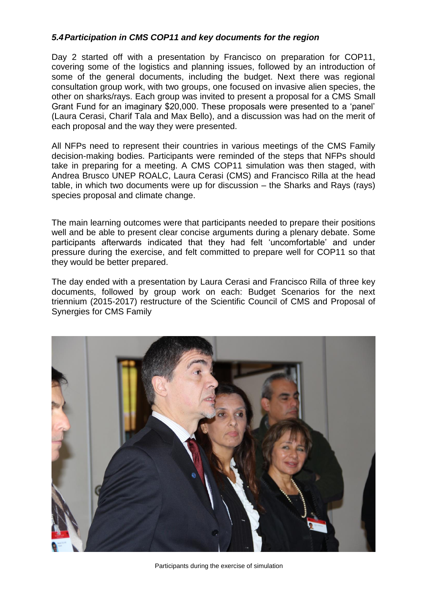#### *5.4Participation in CMS COP11 and key documents for the region*

Day 2 started off with a presentation by Francisco on preparation for COP11, covering some of the logistics and planning issues, followed by an introduction of some of the general documents, including the budget. Next there was regional consultation group work, with two groups, one focused on invasive alien species, the other on sharks/rays. Each group was invited to present a proposal for a CMS Small Grant Fund for an imaginary \$20,000. These proposals were presented to a 'panel' (Laura Cerasi, Charif Tala and Max Bello), and a discussion was had on the merit of each proposal and the way they were presented.

All NFPs need to represent their countries in various meetings of the CMS Family decision-making bodies. Participants were reminded of the steps that NFPs should take in preparing for a meeting. A CMS COP11 simulation was then staged, with Andrea Brusco UNEP ROALC, Laura Cerasi (CMS) and Francisco Rilla at the head table, in which two documents were up for discussion – the Sharks and Rays (rays) species proposal and climate change.

The main learning outcomes were that participants needed to prepare their positions well and be able to present clear concise arguments during a plenary debate. Some participants afterwards indicated that they had felt 'uncomfortable' and under pressure during the exercise, and felt committed to prepare well for COP11 so that they would be better prepared.

The day ended with a presentation by Laura Cerasi and Francisco Rilla of three key documents, followed by group work on each: Budget Scenarios for the next triennium (2015-2017) restructure of the Scientific Council of CMS and Proposal of Synergies for CMS Family



Participants during the exercise of simulation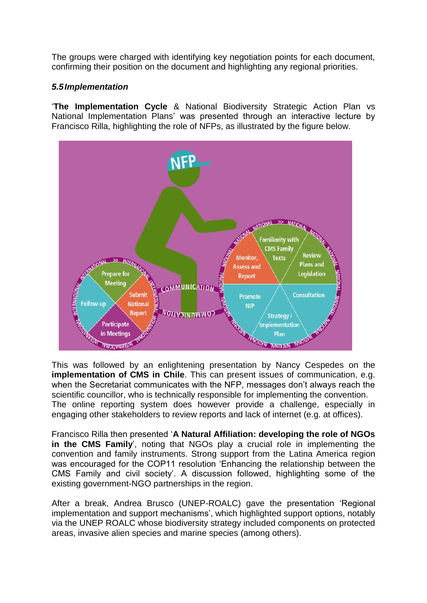The groups were charged with identifying key negotiation points for each document, confirming their position on the document and highlighting any regional priorities.

#### *5.5Implementation*

'**The Implementation Cycle** & National Biodiversity Strategic Action Plan vs National Implementation Plans' was presented through an interactive lecture by Francisco Rilla, highlighting the role of NFPs, as illustrated by the figure below.



This was followed by an enlightening presentation by Nancy Cespedes on the **implementation of CMS in Chile**. This can present issues of communication, e.g. when the Secretariat communicates with the NFP, messages don't always reach the scientific councillor, who is technically responsible for implementing the convention. The online reporting system does however provide a challenge, especially in engaging other stakeholders to review reports and lack of internet (e.g. at offices).

Francisco Rilla then presented '**A Natural Affiliation: developing the role of NGOs in the CMS Family**', noting that NGOs play a crucial role in implementing the convention and family instruments. Strong support from the Latina America region was encouraged for the COP11 resolution 'Enhancing the relationship between the CMS Family and civil society'. A discussion followed, highlighting some of the existing government-NGO partnerships in the region.

After a break, Andrea Brusco (UNEP-ROALC) gave the presentation 'Regional implementation and support mechanisms', which highlighted support options, notably via the UNEP ROALC whose biodiversity strategy included components on protected areas, invasive alien species and marine species (among others).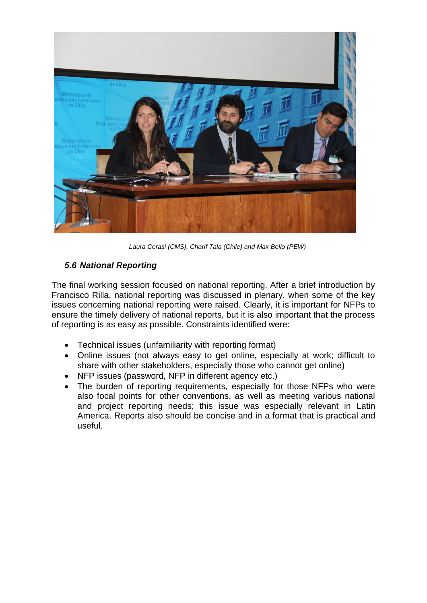

*Laura Cerasi (CMS), Charif Tala (Chile) and Max Bello (PEW)*

## *5.6 National Reporting*

The final working session focused on national reporting. After a brief introduction by Francisco Rilla, national reporting was discussed in plenary, when some of the key issues concerning national reporting were raised. Clearly, it is important for NFPs to ensure the timely delivery of national reports, but it is also important that the process of reporting is as easy as possible. Constraints identified were:

- Technical issues (unfamiliarity with reporting format)
- Online issues (not always easy to get online, especially at work; difficult to share with other stakeholders, especially those who cannot get online)
- NFP issues (password, NFP in different agency etc.)
- The burden of reporting requirements, especially for those NFPs who were also focal points for other conventions, as well as meeting various national and project reporting needs; this issue was especially relevant in Latin America. Reports also should be concise and in a format that is practical and useful.